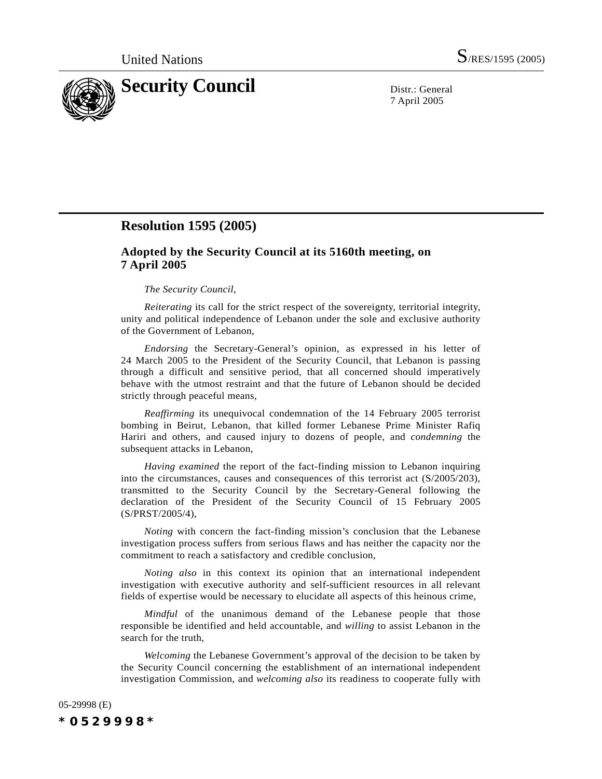

7 April 2005

## **Resolution 1595 (2005)**

## **Adopted by the Security Council at its 5160th meeting, on 7 April 2005**

## *The Security Council*,

*Reiterating* its call for the strict respect of the sovereignty, territorial integrity, unity and political independence of Lebanon under the sole and exclusive authority of the Government of Lebanon,

*Endorsing* the Secretary-General's opinion, as expressed in his letter of 24 March 2005 to the President of the Security Council, that Lebanon is passing through a difficult and sensitive period, that all concerned should imperatively behave with the utmost restraint and that the future of Lebanon should be decided strictly through peaceful means,

*Reaffirming* its unequivocal condemnation of the 14 February 2005 terrorist bombing in Beirut, Lebanon, that killed former Lebanese Prime Minister Rafiq Hariri and others, and caused injury to dozens of people, and *condemning* the subsequent attacks in Lebanon,

*Having examined* the report of the fact-finding mission to Lebanon inquiring into the circumstances, causes and consequences of this terrorist act (S/2005/203), transmitted to the Security Council by the Secretary-General following the declaration of the President of the Security Council of 15 February 2005 (S/PRST/2005/4),

*Noting* with concern the fact-finding mission's conclusion that the Lebanese investigation process suffers from serious flaws and has neither the capacity nor the commitment to reach a satisfactory and credible conclusion,

*Noting also* in this context its opinion that an international independent investigation with executive authority and self-sufficient resources in all relevant fields of expertise would be necessary to elucidate all aspects of this heinous crime,

*Mindful* of the unanimous demand of the Lebanese people that those responsible be identified and held accountable, and *willing* to assist Lebanon in the search for the truth,

*Welcoming* the Lebanese Government's approval of the decision to be taken by the Security Council concerning the establishment of an international independent investigation Commission, and *welcoming also* its readiness to cooperate fully with

05-29998 (E) *\*0529998\**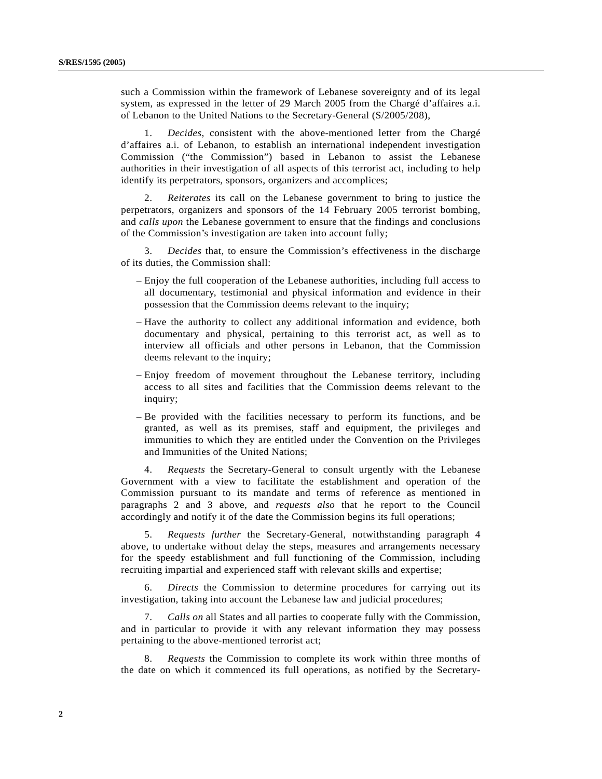such a Commission within the framework of Lebanese sovereignty and of its legal system, as expressed in the letter of 29 March 2005 from the Chargé d'affaires a.i. of Lebanon to the United Nations to the Secretary-General (S/2005/208),

1. *Decides*, consistent with the above-mentioned letter from the Chargé d'affaires a.i. of Lebanon, to establish an international independent investigation Commission ("the Commission") based in Lebanon to assist the Lebanese authorities in their investigation of all aspects of this terrorist act, including to help identify its perpetrators, sponsors, organizers and accomplices;

2. *Reiterates* its call on the Lebanese government to bring to justice the perpetrators, organizers and sponsors of the 14 February 2005 terrorist bombing, and *calls upon* the Lebanese government to ensure that the findings and conclusions of the Commission's investigation are taken into account fully;

3. *Decides* that, to ensure the Commission's effectiveness in the discharge of its duties, the Commission shall:

- Enjoy the full cooperation of the Lebanese authorities, including full access to all documentary, testimonial and physical information and evidence in their possession that the Commission deems relevant to the inquiry;
- Have the authority to collect any additional information and evidence, both documentary and physical, pertaining to this terrorist act, as well as to interview all officials and other persons in Lebanon, that the Commission deems relevant to the inquiry;
- Enjoy freedom of movement throughout the Lebanese territory, including access to all sites and facilities that the Commission deems relevant to the inquiry;
- Be provided with the facilities necessary to perform its functions, and be granted, as well as its premises, staff and equipment, the privileges and immunities to which they are entitled under the Convention on the Privileges and Immunities of the United Nations;

4. *Requests* the Secretary-General to consult urgently with the Lebanese Government with a view to facilitate the establishment and operation of the Commission pursuant to its mandate and terms of reference as mentioned in paragraphs 2 and 3 above, and *requests also* that he report to the Council accordingly and notify it of the date the Commission begins its full operations;

5. *Requests further* the Secretary-General, notwithstanding paragraph 4 above, to undertake without delay the steps, measures and arrangements necessary for the speedy establishment and full functioning of the Commission, including recruiting impartial and experienced staff with relevant skills and expertise;

6. *Directs* the Commission to determine procedures for carrying out its investigation, taking into account the Lebanese law and judicial procedures;

7. *Calls on* all States and all parties to cooperate fully with the Commission, and in particular to provide it with any relevant information they may possess pertaining to the above-mentioned terrorist act;

8. *Requests* the Commission to complete its work within three months of the date on which it commenced its full operations, as notified by the Secretary